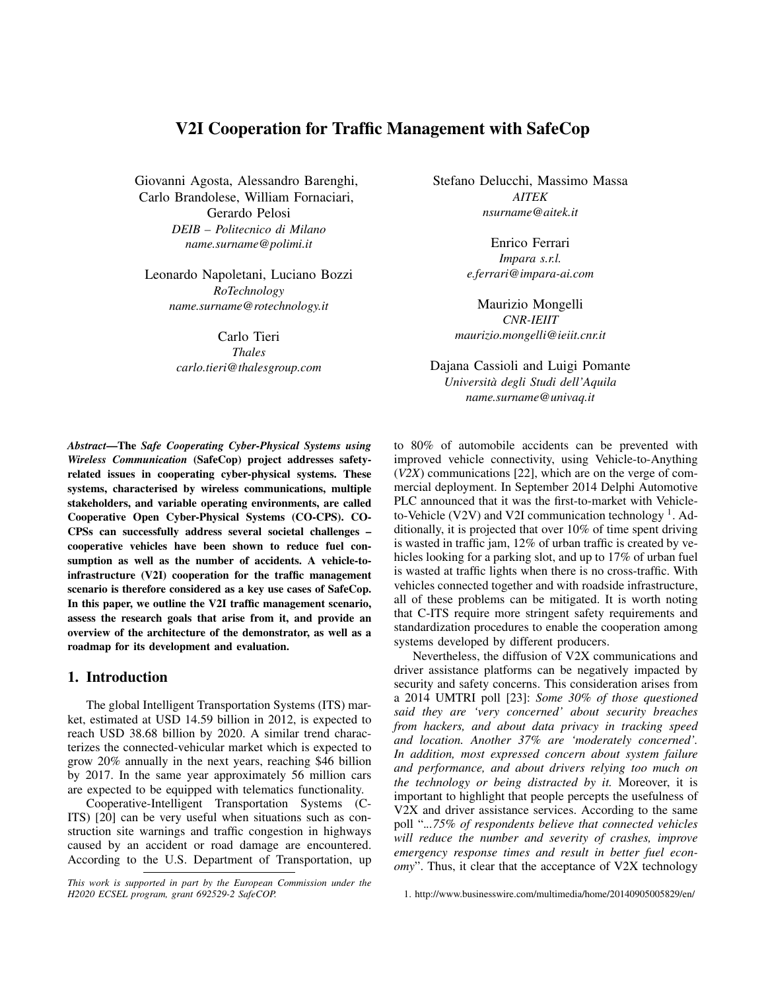# V2I Cooperation for Traffic Management with SafeCop

Giovanni Agosta, Alessandro Barenghi, Carlo Brandolese, William Fornaciari, Gerardo Pelosi *DEIB – Politecnico di Milano name.surname@polimi.it*

Leonardo Napoletani, Luciano Bozzi *RoTechnology name.surname@rotechnology.it*

> Carlo Tieri *Thales carlo.tieri@thalesgroup.com*

Stefano Delucchi, Massimo Massa *AITEK nsurname@aitek.it*

> Enrico Ferrari *Impara s.r.l. e.ferrari@impara-ai.com*

Maurizio Mongelli *CNR-IEIIT maurizio.mongelli@ieiit.cnr.it*

Dajana Cassioli and Luigi Pomante *Universita degli Studi dell'Aquila ` name.surname@univaq.it*

*Abstract*—The *Safe Cooperating Cyber-Physical Systems using Wireless Communication* (SafeCop) project addresses safetyrelated issues in cooperating cyber-physical systems. These systems, characterised by wireless communications, multiple stakeholders, and variable operating environments, are called Cooperative Open Cyber-Physical Systems (CO-CPS). CO-CPSs can successfully address several societal challenges – cooperative vehicles have been shown to reduce fuel consumption as well as the number of accidents. A vehicle-toinfrastructure (V2I) cooperation for the traffic management scenario is therefore considered as a key use cases of SafeCop. In this paper, we outline the V2I traffic management scenario, assess the research goals that arise from it, and provide an overview of the architecture of the demonstrator, as well as a roadmap for its development and evaluation.

## 1. Introduction

The global Intelligent Transportation Systems (ITS) market, estimated at USD 14.59 billion in 2012, is expected to reach USD 38.68 billion by 2020. A similar trend characterizes the connected-vehicular market which is expected to grow 20% annually in the next years, reaching \$46 billion by 2017. In the same year approximately 56 million cars are expected to be equipped with telematics functionality.

Cooperative-Intelligent Transportation Systems (C-ITS) [20] can be very useful when situations such as construction site warnings and traffic congestion in highways caused by an accident or road damage are encountered. According to the U.S. Department of Transportation, up to 80% of automobile accidents can be prevented with improved vehicle connectivity, using Vehicle-to-Anything (*V2X*) communications [22], which are on the verge of commercial deployment. In September 2014 Delphi Automotive PLC announced that it was the first-to-market with Vehicleto-Vehicle (V2V) and V2I communication technology  $<sup>1</sup>$ . Ad-</sup> ditionally, it is projected that over 10% of time spent driving is wasted in traffic jam, 12% of urban traffic is created by vehicles looking for a parking slot, and up to 17% of urban fuel is wasted at traffic lights when there is no cross-traffic. With vehicles connected together and with roadside infrastructure, all of these problems can be mitigated. It is worth noting that C-ITS require more stringent safety requirements and standardization procedures to enable the cooperation among systems developed by different producers.

Nevertheless, the diffusion of V2X communications and driver assistance platforms can be negatively impacted by security and safety concerns. This consideration arises from a 2014 UMTRI poll [23]: *Some 30% of those questioned said they are 'very concerned' about security breaches from hackers, and about data privacy in tracking speed and location. Another 37% are 'moderately concerned'. In addition, most expressed concern about system failure and performance, and about drivers relying too much on the technology or being distracted by it.* Moreover, it is important to highlight that people percepts the usefulness of V2X and driver assistance services. According to the same poll ".*..75% of respondents believe that connected vehicles will reduce the number and severity of crashes, improve emergency response times and result in better fuel economy*". Thus, it clear that the acceptance of V2X technology

*This work is supported in part by the European Commission under the H2020 ECSEL program, grant 692529-2 SafeCOP.*

<sup>1.</sup> http://www.businesswire.com/multimedia/home/20140905005829/en/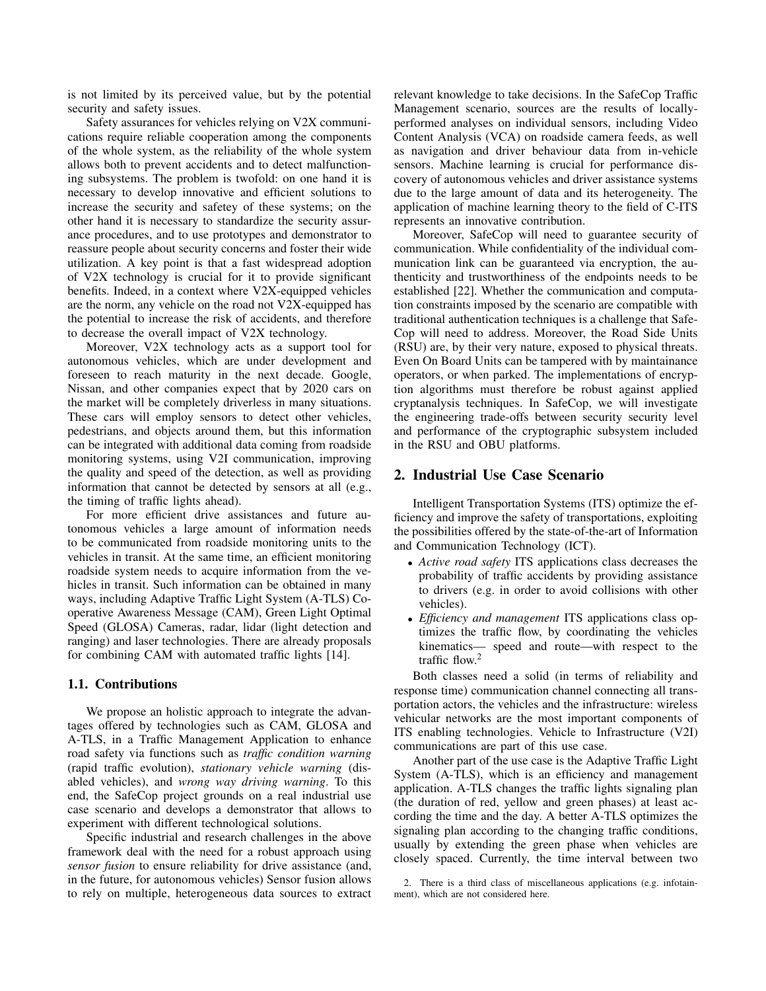is not limited by its perceived value, but by the potential security and safety issues.

Safety assurances for vehicles relying on V2X communications require reliable cooperation among the components of the whole system, as the reliability of the whole system allows both to prevent accidents and to detect malfunctioning subsystems. The problem is twofold: on one hand it is necessary to develop innovative and efficient solutions to increase the security and safetey of these systems; on the other hand it is necessary to standardize the security assurance procedures, and to use prototypes and demonstrator to reassure people about security concerns and foster their wide utilization. A key point is that a fast widespread adoption of V2X technology is crucial for it to provide significant benefits. Indeed, in a context where V2X-equipped vehicles are the norm, any vehicle on the road not V2X-equipped has the potential to increase the risk of accidents, and therefore to decrease the overall impact of V2X technology.

Moreover, V2X technology acts as a support tool for autonomous vehicles, which are under development and foreseen to reach maturity in the next decade. Google, Nissan, and other companies expect that by 2020 cars on the market will be completely driverless in many situations. These cars will employ sensors to detect other vehicles, pedestrians, and objects around them, but this information can be integrated with additional data coming from roadside monitoring systems, using V2I communication, improving the quality and speed of the detection, as well as providing information that cannot be detected by sensors at all (e.g., the timing of traffic lights ahead).

For more efficient drive assistances and future autonomous vehicles a large amount of information needs to be communicated from roadside monitoring units to the vehicles in transit. At the same time, an efficient monitoring roadside system needs to acquire information from the vehicles in transit. Such information can be obtained in many ways, including Adaptive Traffic Light System (A-TLS) Cooperative Awareness Message (CAM), Green Light Optimal Speed (GLOSA) Cameras, radar, lidar (light detection and ranging) and laser technologies. There are already proposals for combining CAM with automated traffic lights [14].

# 1.1. Contributions

We propose an holistic approach to integrate the advantages offered by technologies such as CAM, GLOSA and A-TLS, in a Traffic Management Application to enhance road safety via functions such as *traffic condition warning* (rapid traffic evolution), *stationary vehicle warning* (disabled vehicles), and *wrong way driving warning*. To this end, the SafeCop project grounds on a real industrial use case scenario and develops a demonstrator that allows to experiment with different technological solutions.

Specific industrial and research challenges in the above framework deal with the need for a robust approach using *sensor fusion* to ensure reliability for drive assistance (and, in the future, for autonomous vehicles) Sensor fusion allows to rely on multiple, heterogeneous data sources to extract relevant knowledge to take decisions. In the SafeCop Traffic Management scenario, sources are the results of locallyperformed analyses on individual sensors, including Video Content Analysis (VCA) on roadside camera feeds, as well as navigation and driver behaviour data from in-vehicle sensors. Machine learning is crucial for performance discovery of autonomous vehicles and driver assistance systems due to the large amount of data and its heterogeneity. The application of machine learning theory to the field of C-ITS represents an innovative contribution.

Moreover, SafeCop will need to guarantee security of communication. While confidentiality of the individual communication link can be guaranteed via encryption, the authenticity and trustworthiness of the endpoints needs to be established [22]. Whether the communication and computation constraints imposed by the scenario are compatible with traditional authentication techniques is a challenge that Safe-Cop will need to address. Moreover, the Road Side Units (RSU) are, by their very nature, exposed to physical threats. Even On Board Units can be tampered with by maintainance operators, or when parked. The implementations of encryption algorithms must therefore be robust against applied cryptanalysis techniques. In SafeCop, we will investigate the engineering trade-offs between security security level and performance of the cryptographic subsystem included in the RSU and OBU platforms.

# 2. Industrial Use Case Scenario

Intelligent Transportation Systems (ITS) optimize the efficiency and improve the safety of transportations, exploiting the possibilities offered by the state-of-the-art of Information and Communication Technology (ICT).

- *Active road safety* ITS applications class decreases the probability of traffic accidents by providing assistance to drivers (e.g. in order to avoid collisions with other vehicles).
- *Efficiency and management* ITS applications class optimizes the traffic flow, by coordinating the vehicles kinematics— speed and route—with respect to the traffic flow.<sup>2</sup>

Both classes need a solid (in terms of reliability and response time) communication channel connecting all transportation actors, the vehicles and the infrastructure: wireless vehicular networks are the most important components of ITS enabling technologies. Vehicle to Infrastructure (V2I) communications are part of this use case.

Another part of the use case is the Adaptive Traffic Light System (A-TLS), which is an efficiency and management application. A-TLS changes the traffic lights signaling plan (the duration of red, yellow and green phases) at least according the time and the day. A better A-TLS optimizes the signaling plan according to the changing traffic conditions, usually by extending the green phase when vehicles are closely spaced. Currently, the time interval between two

<sup>2.</sup> There is a third class of miscellaneous applications (e.g. infotainment), which are not considered here.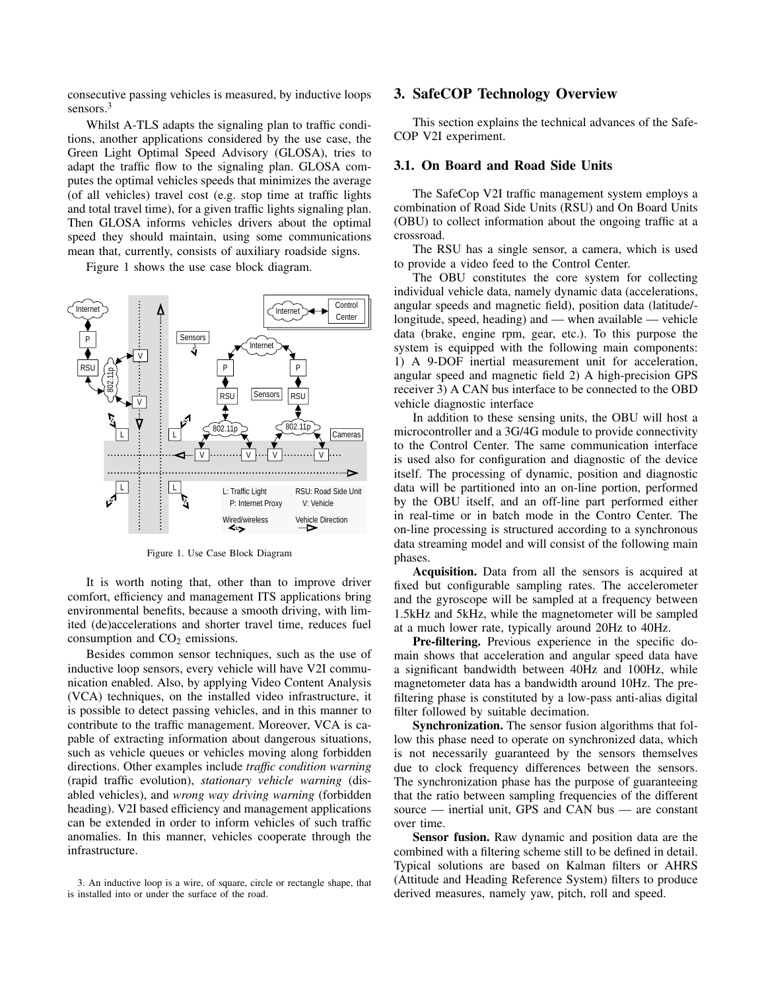consecutive passing vehicles is measured, by inductive loops sensors.<sup>3</sup>

Whilst A-TLS adapts the signaling plan to traffic conditions, another applications considered by the use case, the Green Light Optimal Speed Advisory (GLOSA), tries to adapt the traffic flow to the signaling plan. GLOSA computes the optimal vehicles speeds that minimizes the average (of all vehicles) travel cost (e.g. stop time at traffic lights and total travel time), for a given traffic lights signaling plan. Then GLOSA informs vehicles drivers about the optimal speed they should maintain, using some communications mean that, currently, consists of auxiliary roadside signs.

Figure 1 shows the use case block diagram.



Figure 1. Use Case Block Diagram

It is worth noting that, other than to improve driver comfort, efficiency and management ITS applications bring environmental benefits, because a smooth driving, with limited (de)accelerations and shorter travel time, reduces fuel consumption and  $CO<sub>2</sub>$  emissions.

Besides common sensor techniques, such as the use of inductive loop sensors, every vehicle will have V2I communication enabled. Also, by applying Video Content Analysis (VCA) techniques, on the installed video infrastructure, it is possible to detect passing vehicles, and in this manner to contribute to the traffic management. Moreover, VCA is capable of extracting information about dangerous situations, such as vehicle queues or vehicles moving along forbidden directions. Other examples include *traffic condition warning* (rapid traffic evolution), *stationary vehicle warning* (disabled vehicles), and *wrong way driving warning* (forbidden heading). V2I based efficiency and management applications can be extended in order to inform vehicles of such traffic anomalies. In this manner, vehicles cooperate through the infrastructure.

## 3. SafeCOP Technology Overview

This section explains the technical advances of the Safe-COP V2I experiment.

### 3.1. On Board and Road Side Units

The SafeCop V2I traffic management system employs a combination of Road Side Units (RSU) and On Board Units (OBU) to collect information about the ongoing traffic at a crossroad.

The RSU has a single sensor, a camera, which is used to provide a video feed to the Control Center.

The OBU constitutes the core system for collecting individual vehicle data, namely dynamic data (accelerations, angular speeds and magnetic field), position data (latitude/ longitude, speed, heading) and — when available — vehicle data (brake, engine rpm, gear, etc.). To this purpose the system is equipped with the following main components: 1) A 9-DOF inertial measurement unit for acceleration, angular speed and magnetic field 2) A high-precision GPS receiver 3) A CAN bus interface to be connected to the OBD vehicle diagnostic interface

In addition to these sensing units, the OBU will host a microcontroller and a 3G/4G module to provide connectivity to the Control Center. The same communication interface is used also for configuration and diagnostic of the device itself. The processing of dynamic, position and diagnostic data will be partitioned into an on-line portion, performed by the OBU itself, and an off-line part performed either in real-time or in batch mode in the Contro Center. The on-line processing is structured according to a synchronous data streaming model and will consist of the following main phases.

Acquisition. Data from all the sensors is acquired at fixed but configurable sampling rates. The accelerometer and the gyroscope will be sampled at a frequency between 1.5kHz and 5kHz, while the magnetometer will be sampled at a much lower rate, typically around 20Hz to 40Hz.

Pre-filtering. Previous experience in the specific domain shows that acceleration and angular speed data have a significant bandwidth between 40Hz and 100Hz, while magnetometer data has a bandwidth around 10Hz. The prefiltering phase is constituted by a low-pass anti-alias digital filter followed by suitable decimation.

Synchronization. The sensor fusion algorithms that follow this phase need to operate on synchronized data, which is not necessarily guaranteed by the sensors themselves due to clock frequency differences between the sensors. The synchronization phase has the purpose of guaranteeing that the ratio between sampling frequencies of the different source — inertial unit, GPS and CAN bus — are constant over time.

Sensor fusion. Raw dynamic and position data are the combined with a filtering scheme still to be defined in detail. Typical solutions are based on Kalman filters or AHRS (Attitude and Heading Reference System) filters to produce derived measures, namely yaw, pitch, roll and speed.

<sup>3.</sup> An inductive loop is a wire, of square, circle or rectangle shape, that is installed into or under the surface of the road.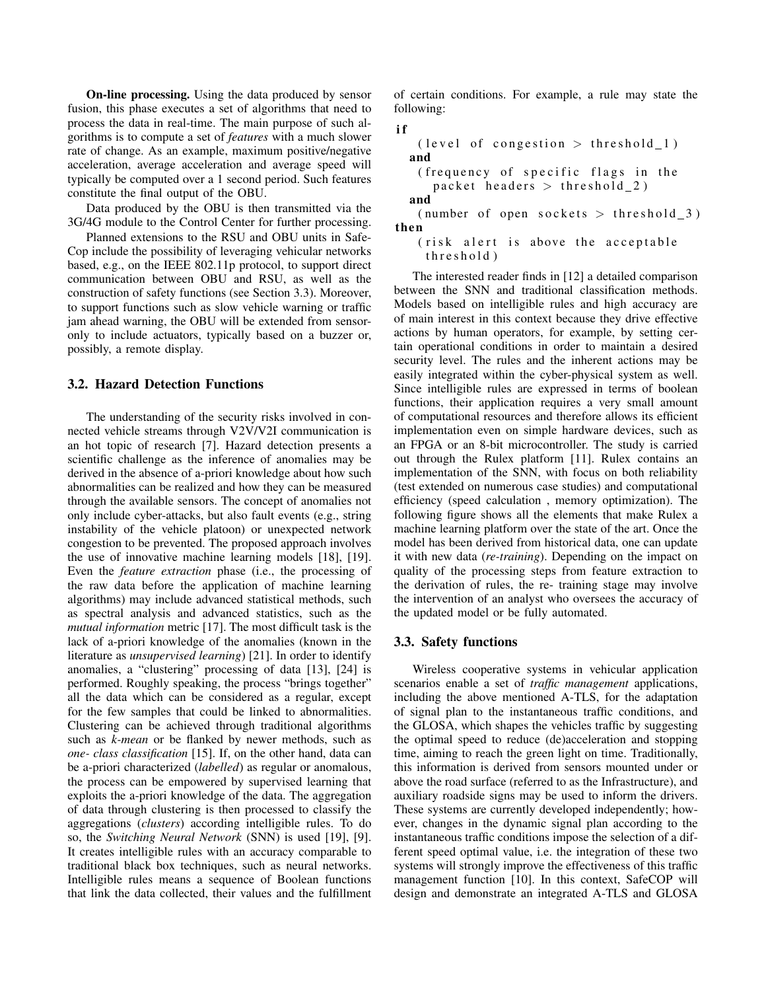On-line processing. Using the data produced by sensor fusion, this phase executes a set of algorithms that need to process the data in real-time. The main purpose of such algorithms is to compute a set of *features* with a much slower rate of change. As an example, maximum positive/negative acceleration, average acceleration and average speed will typically be computed over a 1 second period. Such features constitute the final output of the OBU.

Data produced by the OBU is then transmitted via the 3G/4G module to the Control Center for further processing.

Planned extensions to the RSU and OBU units in Safe-Cop include the possibility of leveraging vehicular networks based, e.g., on the IEEE 802.11p protocol, to support direct communication between OBU and RSU, as well as the construction of safety functions (see Section 3.3). Moreover, to support functions such as slow vehicle warning or traffic jam ahead warning, the OBU will be extended from sensoronly to include actuators, typically based on a buzzer or, possibly, a remote display.

## 3.2. Hazard Detection Functions

The understanding of the security risks involved in connected vehicle streams through V2V/V2I communication is an hot topic of research [7]. Hazard detection presents a scientific challenge as the inference of anomalies may be derived in the absence of a-priori knowledge about how such abnormalities can be realized and how they can be measured through the available sensors. The concept of anomalies not only include cyber-attacks, but also fault events (e.g., string instability of the vehicle platoon) or unexpected network congestion to be prevented. The proposed approach involves the use of innovative machine learning models [18], [19]. Even the *feature extraction* phase (i.e., the processing of the raw data before the application of machine learning algorithms) may include advanced statistical methods, such as spectral analysis and advanced statistics, such as the *mutual information* metric [17]. The most difficult task is the lack of a-priori knowledge of the anomalies (known in the literature as *unsupervised learning*) [21]. In order to identify anomalies, a "clustering" processing of data [13], [24] is performed. Roughly speaking, the process "brings together" all the data which can be considered as a regular, except for the few samples that could be linked to abnormalities. Clustering can be achieved through traditional algorithms such as *k-mean* or be flanked by newer methods, such as *one- class classification* [15]. If, on the other hand, data can be a-priori characterized (*labelled*) as regular or anomalous, the process can be empowered by supervised learning that exploits the a-priori knowledge of the data. The aggregation of data through clustering is then processed to classify the aggregations (*clusters*) according intelligible rules. To do so, the *Switching Neural Network* (SNN) is used [19], [9]. It creates intelligible rules with an accuracy comparable to traditional black box techniques, such as neural networks. Intelligible rules means a sequence of Boolean functions that link the data collected, their values and the fulfillment of certain conditions. For example, a rule may state the following:

```
i f
```

```
(level of congestion > threshold_1)and
  (frequency of specific flags in the
    packet headers > threshold 2)
and
  (number of open sockets > threshold 3)then
```
(risk alert is above the acceptable threshold)

The interested reader finds in [12] a detailed comparison between the SNN and traditional classification methods. Models based on intelligible rules and high accuracy are of main interest in this context because they drive effective actions by human operators, for example, by setting certain operational conditions in order to maintain a desired security level. The rules and the inherent actions may be easily integrated within the cyber-physical system as well. Since intelligible rules are expressed in terms of boolean functions, their application requires a very small amount of computational resources and therefore allows its efficient implementation even on simple hardware devices, such as an FPGA or an 8-bit microcontroller. The study is carried out through the Rulex platform [11]. Rulex contains an implementation of the SNN, with focus on both reliability (test extended on numerous case studies) and computational efficiency (speed calculation , memory optimization). The following figure shows all the elements that make Rulex a machine learning platform over the state of the art. Once the model has been derived from historical data, one can update it with new data (*re-training*). Depending on the impact on quality of the processing steps from feature extraction to the derivation of rules, the re- training stage may involve the intervention of an analyst who oversees the accuracy of the updated model or be fully automated.

## 3.3. Safety functions

Wireless cooperative systems in vehicular application scenarios enable a set of *traffic management* applications, including the above mentioned A-TLS, for the adaptation of signal plan to the instantaneous traffic conditions, and the GLOSA, which shapes the vehicles traffic by suggesting the optimal speed to reduce (de)acceleration and stopping time, aiming to reach the green light on time. Traditionally, this information is derived from sensors mounted under or above the road surface (referred to as the Infrastructure), and auxiliary roadside signs may be used to inform the drivers. These systems are currently developed independently; however, changes in the dynamic signal plan according to the instantaneous traffic conditions impose the selection of a different speed optimal value, i.e. the integration of these two systems will strongly improve the effectiveness of this traffic management function [10]. In this context, SafeCOP will design and demonstrate an integrated A-TLS and GLOSA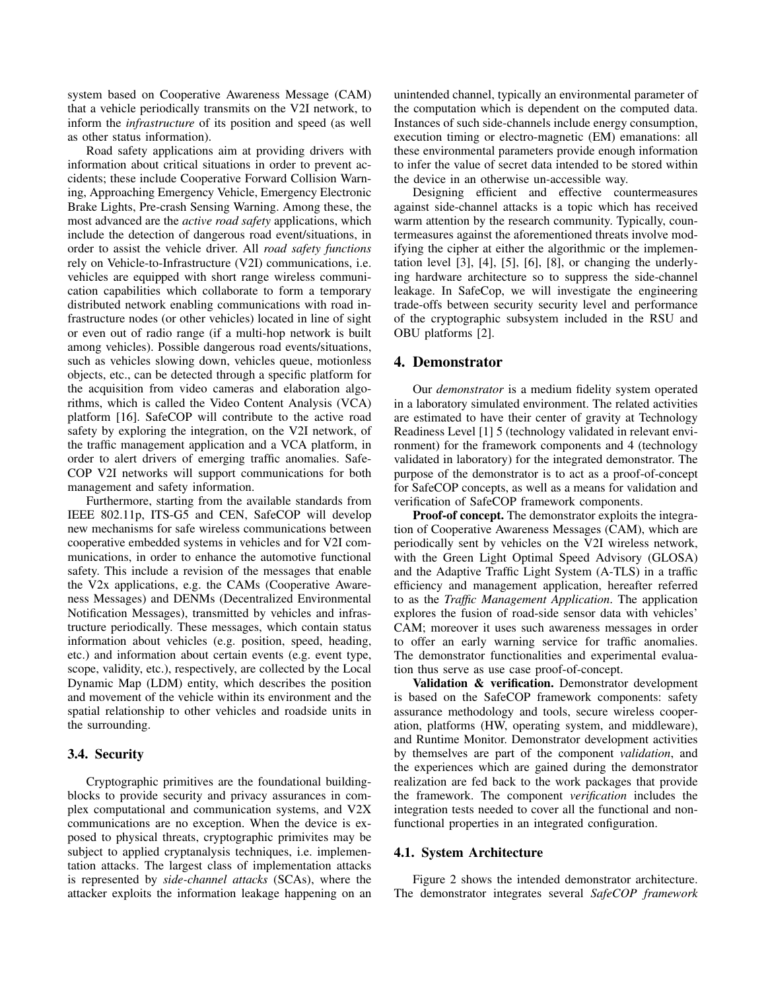system based on Cooperative Awareness Message (CAM) that a vehicle periodically transmits on the V2I network, to inform the *infrastructure* of its position and speed (as well as other status information).

Road safety applications aim at providing drivers with information about critical situations in order to prevent accidents; these include Cooperative Forward Collision Warning, Approaching Emergency Vehicle, Emergency Electronic Brake Lights, Pre-crash Sensing Warning. Among these, the most advanced are the *active road safety* applications, which include the detection of dangerous road event/situations, in order to assist the vehicle driver. All *road safety functions* rely on Vehicle-to-Infrastructure (V2I) communications, i.e. vehicles are equipped with short range wireless communication capabilities which collaborate to form a temporary distributed network enabling communications with road infrastructure nodes (or other vehicles) located in line of sight or even out of radio range (if a multi-hop network is built among vehicles). Possible dangerous road events/situations, such as vehicles slowing down, vehicles queue, motionless objects, etc., can be detected through a specific platform for the acquisition from video cameras and elaboration algorithms, which is called the Video Content Analysis (VCA) platform [16]. SafeCOP will contribute to the active road safety by exploring the integration, on the V2I network, of the traffic management application and a VCA platform, in order to alert drivers of emerging traffic anomalies. Safe-COP V2I networks will support communications for both management and safety information.

Furthermore, starting from the available standards from IEEE 802.11p, ITS-G5 and CEN, SafeCOP will develop new mechanisms for safe wireless communications between cooperative embedded systems in vehicles and for V2I communications, in order to enhance the automotive functional safety. This include a revision of the messages that enable the V2x applications, e.g. the CAMs (Cooperative Awareness Messages) and DENMs (Decentralized Environmental Notification Messages), transmitted by vehicles and infrastructure periodically. These messages, which contain status information about vehicles (e.g. position, speed, heading, etc.) and information about certain events (e.g. event type, scope, validity, etc.), respectively, are collected by the Local Dynamic Map (LDM) entity, which describes the position and movement of the vehicle within its environment and the spatial relationship to other vehicles and roadside units in the surrounding.

## 3.4. Security

Cryptographic primitives are the foundational buildingblocks to provide security and privacy assurances in complex computational and communication systems, and V2X communications are no exception. When the device is exposed to physical threats, cryptographic primivites may be subject to applied cryptanalysis techniques, i.e. implementation attacks. The largest class of implementation attacks is represented by *side-channel attacks* (SCAs), where the attacker exploits the information leakage happening on an unintended channel, typically an environmental parameter of the computation which is dependent on the computed data. Instances of such side-channels include energy consumption, execution timing or electro-magnetic (EM) emanations: all these environmental parameters provide enough information to infer the value of secret data intended to be stored within the device in an otherwise un-accessible way.

Designing efficient and effective countermeasures against side-channel attacks is a topic which has received warm attention by the research community. Typically, countermeasures against the aforementioned threats involve modifying the cipher at either the algorithmic or the implementation level [3], [4], [5], [6], [8], or changing the underlying hardware architecture so to suppress the side-channel leakage. In SafeCop, we will investigate the engineering trade-offs between security security level and performance of the cryptographic subsystem included in the RSU and OBU platforms [2].

### 4. Demonstrator

Our *demonstrator* is a medium fidelity system operated in a laboratory simulated environment. The related activities are estimated to have their center of gravity at Technology Readiness Level [1] 5 (technology validated in relevant environment) for the framework components and 4 (technology validated in laboratory) for the integrated demonstrator. The purpose of the demonstrator is to act as a proof-of-concept for SafeCOP concepts, as well as a means for validation and verification of SafeCOP framework components.

Proof-of concept. The demonstrator exploits the integration of Cooperative Awareness Messages (CAM), which are periodically sent by vehicles on the V2I wireless network, with the Green Light Optimal Speed Advisory (GLOSA) and the Adaptive Traffic Light System (A-TLS) in a traffic efficiency and management application, hereafter referred to as the *Traffic Management Application*. The application explores the fusion of road-side sensor data with vehicles' CAM; moreover it uses such awareness messages in order to offer an early warning service for traffic anomalies. The demonstrator functionalities and experimental evaluation thus serve as use case proof-of-concept.

Validation & verification. Demonstrator development is based on the SafeCOP framework components: safety assurance methodology and tools, secure wireless cooperation, platforms (HW, operating system, and middleware), and Runtime Monitor. Demonstrator development activities by themselves are part of the component *validation*, and the experiences which are gained during the demonstrator realization are fed back to the work packages that provide the framework. The component *verification* includes the integration tests needed to cover all the functional and nonfunctional properties in an integrated configuration.

#### 4.1. System Architecture

Figure 2 shows the intended demonstrator architecture. The demonstrator integrates several *SafeCOP framework*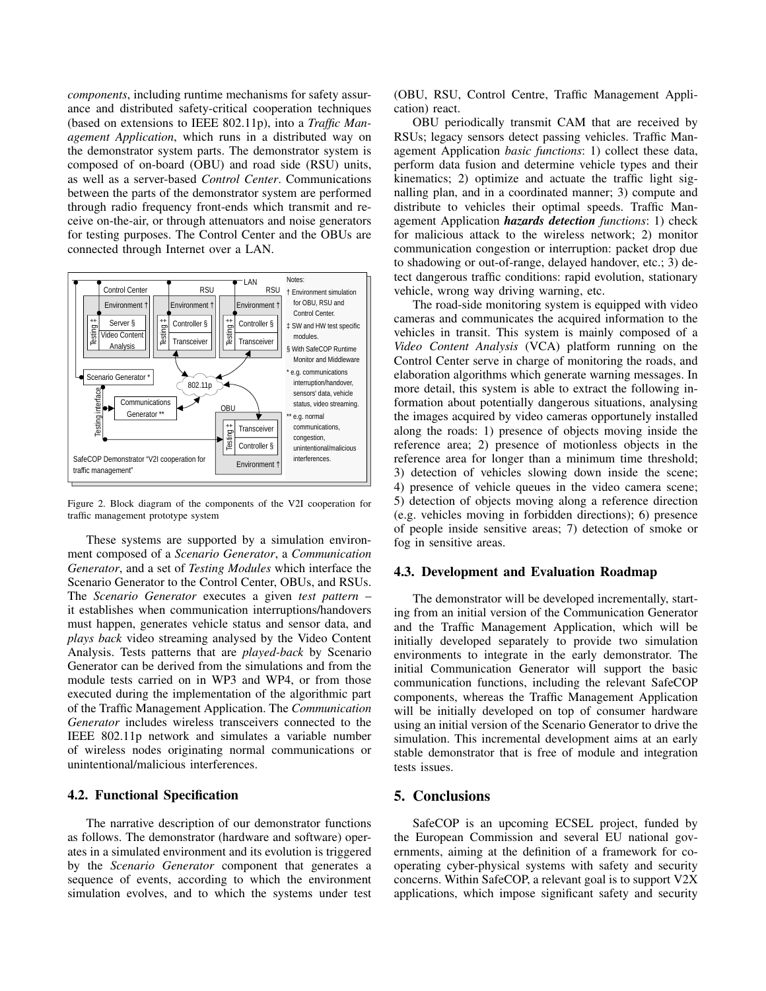*components*, including runtime mechanisms for safety assurance and distributed safety-critical cooperation techniques (based on extensions to IEEE 802.11p), into a *Traffic Management Application*, which runs in a distributed way on the demonstrator system parts. The demonstrator system is composed of on-board (OBU) and road side (RSU) units, as well as a server-based *Control Center*. Communications between the parts of the demonstrator system are performed through radio frequency front-ends which transmit and receive on-the-air, or through attenuators and noise generators for testing purposes. The Control Center and the OBUs are connected through Internet over a LAN.



Figure 2. Block diagram of the components of the V2I cooperation for traffic management prototype system

These systems are supported by a simulation environment composed of a *Scenario Generator*, a *Communication Generator*, and a set of *Testing Modules* which interface the Scenario Generator to the Control Center, OBUs, and RSUs. The *Scenario Generator* executes a given *test pattern* – it establishes when communication interruptions/handovers must happen, generates vehicle status and sensor data, and *plays back* video streaming analysed by the Video Content Analysis. Tests patterns that are *played-back* by Scenario Generator can be derived from the simulations and from the module tests carried on in WP3 and WP4, or from those executed during the implementation of the algorithmic part of the Traffic Management Application. The *Communication Generator* includes wireless transceivers connected to the IEEE 802.11p network and simulates a variable number of wireless nodes originating normal communications or unintentional/malicious interferences.

### 4.2. Functional Specification

The narrative description of our demonstrator functions as follows. The demonstrator (hardware and software) operates in a simulated environment and its evolution is triggered by the *Scenario Generator* component that generates a sequence of events, according to which the environment simulation evolves, and to which the systems under test (OBU, RSU, Control Centre, Traffic Management Application) react.

OBU periodically transmit CAM that are received by RSUs; legacy sensors detect passing vehicles. Traffic Management Application *basic functions*: 1) collect these data, perform data fusion and determine vehicle types and their kinematics; 2) optimize and actuate the traffic light signalling plan, and in a coordinated manner; 3) compute and distribute to vehicles their optimal speeds. Traffic Management Application *hazards detection functions*: 1) check for malicious attack to the wireless network; 2) monitor communication congestion or interruption: packet drop due to shadowing or out-of-range, delayed handover, etc.; 3) detect dangerous traffic conditions: rapid evolution, stationary vehicle, wrong way driving warning, etc.

The road-side monitoring system is equipped with video cameras and communicates the acquired information to the vehicles in transit. This system is mainly composed of a *Video Content Analysis* (VCA) platform running on the Control Center serve in charge of monitoring the roads, and elaboration algorithms which generate warning messages. In more detail, this system is able to extract the following information about potentially dangerous situations, analysing the images acquired by video cameras opportunely installed along the roads: 1) presence of objects moving inside the reference area; 2) presence of motionless objects in the reference area for longer than a minimum time threshold; 3) detection of vehicles slowing down inside the scene; 4) presence of vehicle queues in the video camera scene; 5) detection of objects moving along a reference direction (e.g. vehicles moving in forbidden directions); 6) presence of people inside sensitive areas; 7) detection of smoke or fog in sensitive areas.

#### 4.3. Development and Evaluation Roadmap

The demonstrator will be developed incrementally, starting from an initial version of the Communication Generator and the Traffic Management Application, which will be initially developed separately to provide two simulation environments to integrate in the early demonstrator. The initial Communication Generator will support the basic communication functions, including the relevant SafeCOP components, whereas the Traffic Management Application will be initially developed on top of consumer hardware using an initial version of the Scenario Generator to drive the simulation. This incremental development aims at an early stable demonstrator that is free of module and integration tests issues.

### 5. Conclusions

SafeCOP is an upcoming ECSEL project, funded by the European Commission and several EU national governments, aiming at the definition of a framework for cooperating cyber-physical systems with safety and security concerns. Within SafeCOP, a relevant goal is to support V2X applications, which impose significant safety and security